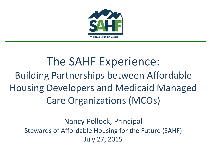

#### The SAHF Experience: Building Partnerships between Affordable Housing Developers and Medicaid Managed Care Organizations (MCOs)

Nancy Pollock, Principal Stewards of Affordable Housing for the Future (SAHF) July 27, 2015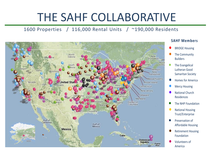## THE SAHF COLLABORATIVE

#### 1600 Properties / 116,000 Rental Units / ~190,000 Residents



#### **SAHF Members**

- **BRIDGE Housing**
- **●** The Community Builders
- The Evangelical Lutheran Good Samaritan Society
- **●** Homes for America
- **●** Mercy Housing
- **●** National Church Residences
- The NHP Foundation
- **●** National Housing Trust/Enterprise
- Preservation of Affordable Housing
- **●** Retirement Housing Foundation
- **●** Volunteers of America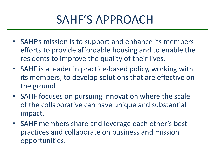#### SAHF'S APPROACH

- SAHF's mission is to support and enhance its members efforts to provide affordable housing and to enable the residents to improve the quality of their lives.
- SAHF is a leader in practice-based policy, working with its members, to develop solutions that are effective on the ground.
- SAHF focuses on pursuing innovation where the scale of the collaborative can have unique and substantial impact.
- SAHF members share and leverage each other's best practices and collaborate on business and mission opportunities.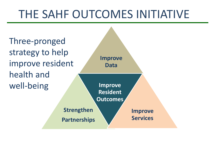### THE SAHF OUTCOMES INITIATIVE

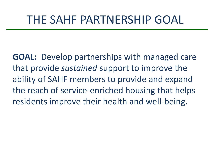#### THE SAHF PARTNERSHIP GOAL

**GOAL:** Develop partnerships with managed care that provide *sustained* support to improve the ability of SAHF members to provide and expand the reach of service-enriched housing that helps residents improve their health and well-being.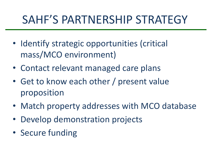## SAHF'S PARTNERSHIP STRATEGY

- Identify strategic opportunities (critical mass/MCO environment)
- Contact relevant managed care plans
- Get to know each other / present value proposition
- Match property addresses with MCO database
- Develop demonstration projects
- Secure funding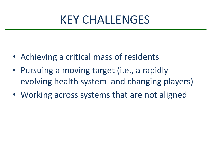#### KEY CHALLENGES

- Achieving a critical mass of residents
- Pursuing a moving target (i.e., a rapidly evolving health system and changing players)
- Working across systems that are not aligned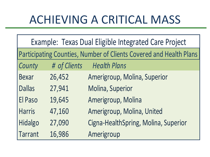## ACHIEVING A CRITICAL MASS

| Example: Texas Dual Eligible Integrated Care Project               |              |                                      |
|--------------------------------------------------------------------|--------------|--------------------------------------|
| Participating Counties, Number of Clients Covered and Health Plans |              |                                      |
| County                                                             | # of Clients | <b>Health Plans</b>                  |
| <b>Bexar</b>                                                       | 26,452       | Amerigroup, Molina, Superior         |
| <b>Dallas</b>                                                      | 27,941       | Molina, Superior                     |
| El Paso                                                            | 19,645       | Amerigroup, Molina                   |
| <b>Harris</b>                                                      | 47,160       | Amerigroup, Molina, United           |
| <b>Hidalgo</b>                                                     | 27,090       | Cigna-HealthSpring, Molina, Superior |
| <b>Tarrant</b>                                                     | 16,986       | Amerigroup                           |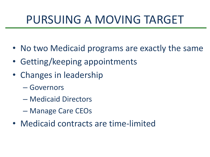## PURSUING A MOVING TARGET

- No two Medicaid programs are exactly the same
- Getting/keeping appointments
- Changes in leadership
	- Governors
	- Medicaid Directors
	- Manage Care CEOs
- Medicaid contracts are time-limited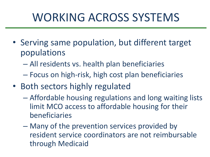# WORKING ACROSS SYSTEMS

- Serving same population, but different target populations
	- All residents vs. health plan beneficiaries
	- Focus on high-risk, high cost plan beneficiaries
- Both sectors highly regulated
	- Affordable housing regulations and long waiting lists limit MCO access to affordable housing for their beneficiaries
	- Many of the prevention services provided by resident service coordinators are not reimbursable through Medicaid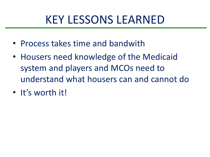#### KEY LESSONS LEARNED

- Process takes time and bandwith
- Housers need knowledge of the Medicaid system and players and MCOs need to understand what housers can and cannot do
- It's worth it!